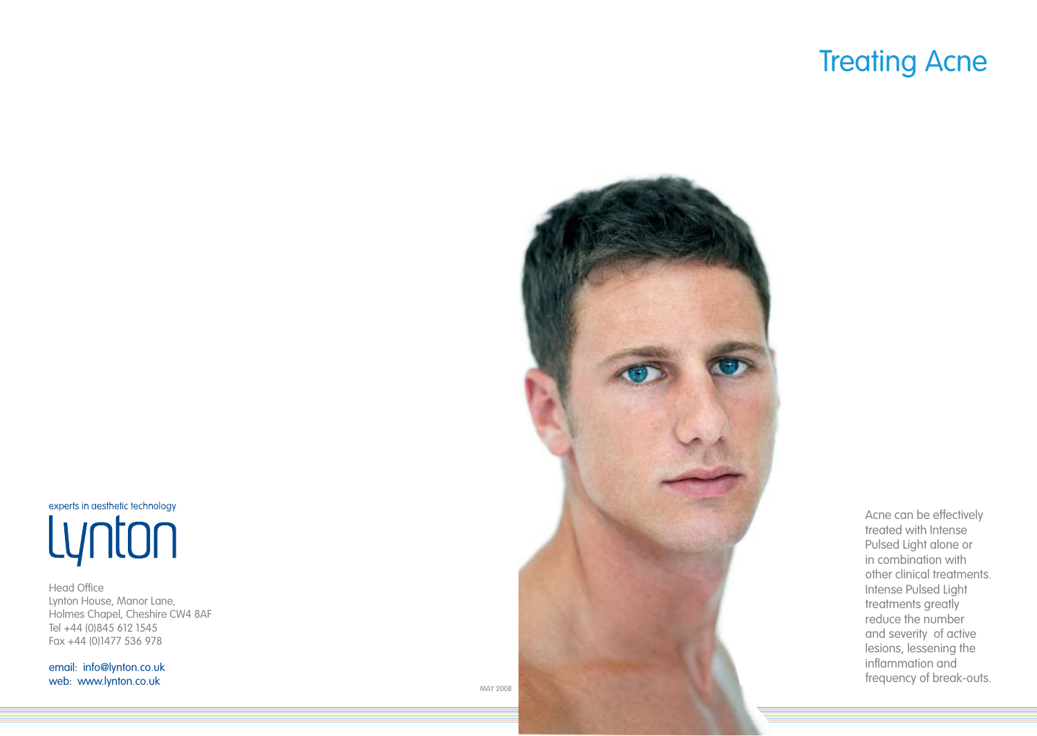# **Treating Acne**

experts in aesthetic technology Lynton

Head Office Lynton House, Manor Lane, Holmes Chapel, Cheshire CW4 8AF Tel +44 (0)845 612 1545 Fax +44 (0)1477 536 978

email: info@lynton.co.uk web: www.lynton.co.uk



Acne can be effectively treated with Intense Pulsed Light alone or in combination with other clinical treatments. Intense Pulsed Light treatments greatly reduce the number and severity of active lesions, lessening the inflammation and